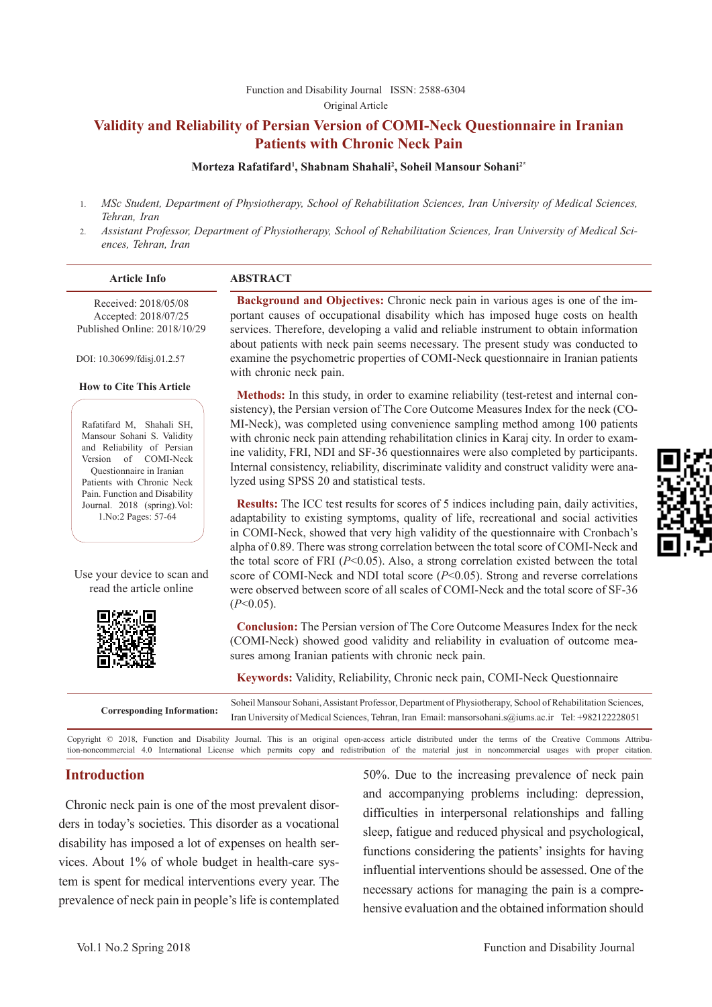#### [Function and Disability Journal ISSN: 2588-6304](http://fdj.iums.ac.ir/index.php?&slct_pg_id=10&sid=1&slc_lang=en)  Original Article

# **Validity and Reliability of Persian Version of COMI-Neck Questionnaire in Iranian Patients with Chronic Neck Pain**

#### **Morteza Rafatifard1 , Shabnam Shahali2 , Soheil Mansour Sohani2\***

- 1. *MSc Student, Department of Physiotherapy, School of Rehabilitation Sciences, Iran University of Medical Sciences, Tehran, Iran*
- 2. *Assistant Professor, Department of Physiotherapy, School of Rehabilitation Sciences, Iran University of Medical Sciences, Tehran, Iran*

| <b>Article Info</b>                                                                                                                                                                                        | <b>ABSTRACT</b>                                                                                                                                                                                                                                                                                                                                                                                                                                                                                                                                                                                                                                 |
|------------------------------------------------------------------------------------------------------------------------------------------------------------------------------------------------------------|-------------------------------------------------------------------------------------------------------------------------------------------------------------------------------------------------------------------------------------------------------------------------------------------------------------------------------------------------------------------------------------------------------------------------------------------------------------------------------------------------------------------------------------------------------------------------------------------------------------------------------------------------|
| Received: 2018/05/08<br>Accepted: 2018/07/25<br>Published Online: 2018/10/29<br>DOI: 10.30699/fdisj.01.2.57                                                                                                | Background and Objectives: Chronic neck pain in various ages is one of the im-<br>portant causes of occupational disability which has imposed huge costs on health<br>services. Therefore, developing a valid and reliable instrument to obtain information<br>about patients with neck pain seems necessary. The present study was conducted to<br>examine the psychometric properties of COMI-Neck questionnaire in Iranian patients<br>with chronic neck pain.                                                                                                                                                                               |
| <b>How to Cite This Article</b><br>Rafatifard M, Shahali SH,<br>Mansour Sohani S. Validity<br>and Reliability of Persian<br>Version of COMI-Neck<br>Questionnaire in Iranian<br>Patients with Chronic Neck | Methods: In this study, in order to examine reliability (test-retest and internal con-<br>sistency), the Persian version of The Core Outcome Measures Index for the neck (CO-<br>MI-Neck), was completed using convenience sampling method among 100 patients<br>with chronic neck pain attending rehabilitation clinics in Karaj city. In order to exam-<br>ine validity, FRI, NDI and SF-36 questionnaires were also completed by participants.<br>Internal consistency, reliability, discriminate validity and construct validity were ana-<br>lyzed using SPSS 20 and statistical tests.                                                    |
| Pain. Function and Disability<br>Journal. 2018 (spring). Vol:<br>1. No: 2 Pages: 57-64<br>Use your device to scan and<br>read the article online                                                           | i.<br>Results: The ICC test results for scores of 5 indices including pain, daily activities,<br>adaptability to existing symptoms, quality of life, recreational and social activities<br>in COMI-Neck, showed that very high validity of the questionnaire with Cronbach's<br>alpha of 0.89. There was strong correlation between the total score of COMI-Neck and<br>the total score of FRI ( $P<0.05$ ). Also, a strong correlation existed between the total<br>score of COMI-Neck and NDI total score $(P<0.05)$ . Strong and reverse correlations<br>were observed between score of all scales of COMI-Neck and the total score of SF-36 |
|                                                                                                                                                                                                            | $(P<0.05)$ .<br><b>Conclusion:</b> The Persian version of The Core Outcome Measures Index for the neck<br>(COMI-Neck) showed good validity and reliability in evaluation of outcome mea-<br>sures among Iranian patients with chronic neck pain.<br>$\frac{1}{2}$ , $\frac{1}{2}$ , $\frac{1}{2}$ , $\frac{1}{2}$ , $\frac{1}{2}$ , $\frac{1}{2}$ , $\frac{1}{2}$ , $\frac{1}{2}$ , $\frac{1}{2}$ , $\frac{1}{2}$ , $\frac{1}{2}$ , $\frac{1}{2}$ , $\frac{1}{2}$ , $\frac{1}{2}$ , $\frac{1}{2}$ , $\frac{1}{2}$ , $\frac{1}{2}$ , $\frac{1}{2}$ , $\frac{1$                                                                                   |

**Keywords:** Validity, Reliability, Chronic neck pain, COMI-Neck Questionnaire

| <b>Corresponding Information:</b> | Soheil Mansour Sohani, Assistant Professor, Department of Physiotherapy, School of Rehabilitation Sciences, |  |  |  |  |  |
|-----------------------------------|-------------------------------------------------------------------------------------------------------------|--|--|--|--|--|
|                                   | Iran University of Medical Sciences, Tehran, Iran Email: mansorsohani.s@iums.ac.ir Tel: +982122228051       |  |  |  |  |  |

Copyright © 2018, Function and Disability Journal. This is an original open-access article distributed under the terms of the Creative Commons Attribution-noncommercial 4.0 International License which permits copy and redistribution of the material just in noncommercial usages with proper citation.

# **Introduction**

Chronic neck pain is one of the most prevalent disorders in today's societies. This disorder as a vocational disability has imposed a lot of expenses on health services. About 1% of whole budget in health-care system is spent for medical interventions every year. The prevalence of neck pain in people's life is contemplated

50%. Due to the increasing prevalence of neck pain and accompanying problems including: depression, difficulties in interpersonal relationships and falling sleep, fatigue and reduced physical and psychological, functions considering the patients' insights for having influential interventions should be assessed. One of the necessary actions for managing the pain is a comprehensive evaluation and the obtained information should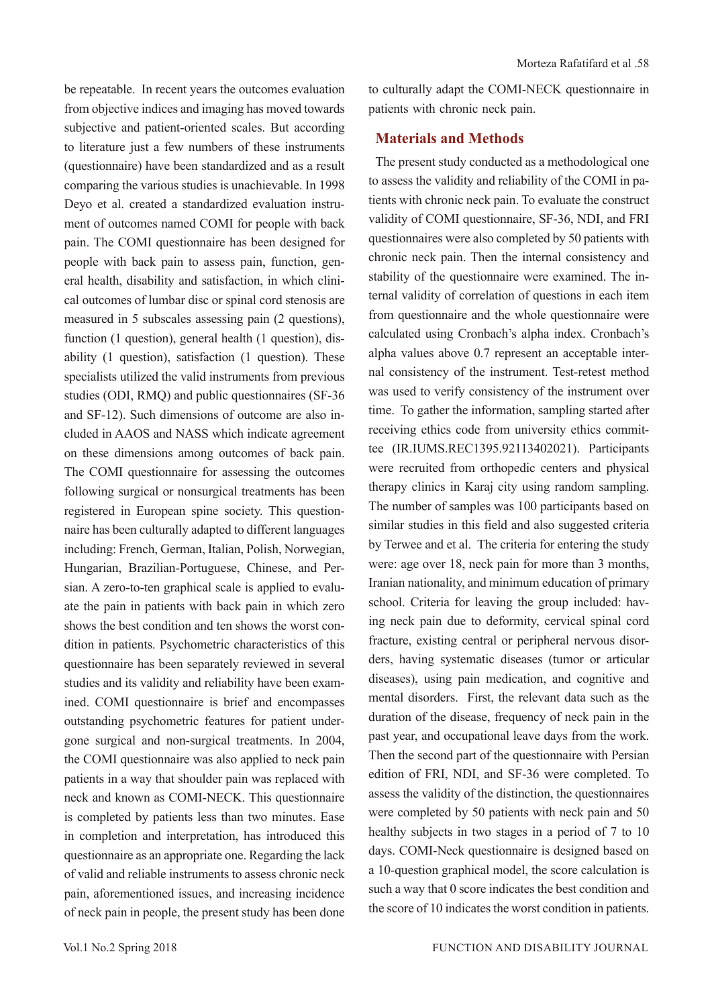be repeatable. In recent years the outcomes evaluation from objective indices and imaging has moved towards subjective and patient-oriented scales. But according to literature just a few numbers of these instruments (questionnaire) have been standardized and as a result comparing the various studies is unachievable. In 1998 Deyo et al. created a standardized evaluation instrument of outcomes named COMI for people with back pain. The COMI questionnaire has been designed for people with back pain to assess pain, function, general health, disability and satisfaction, in which clinical outcomes of lumbar disc or spinal cord stenosis are measured in 5 subscales assessing pain (2 questions), function (1 question), general health (1 question), disability (1 question), satisfaction (1 question). These specialists utilized the valid instruments from previous studies (ODI, RMQ) and public questionnaires (SF-36 and SF-12). Such dimensions of outcome are also included in AAOS and NASS which indicate agreement on these dimensions among outcomes of back pain. The COMI questionnaire for assessing the outcomes following surgical or nonsurgical treatments has been registered in European spine society. This questionnaire has been culturally adapted to different languages including: French, German, Italian, Polish, Norwegian, Hungarian, Brazilian-Portuguese, Chinese, and Persian. A zero-to-ten graphical scale is applied to evaluate the pain in patients with back pain in which zero shows the best condition and ten shows the worst condition in patients. Psychometric characteristics of this questionnaire has been separately reviewed in several studies and its validity and reliability have been examined. COMI questionnaire is brief and encompasses outstanding psychometric features for patient undergone surgical and non-surgical treatments. In 2004, the COMI questionnaire was also applied to neck pain patients in a way that shoulder pain was replaced with neck and known as COMI-NECK. This questionnaire is completed by patients less than two minutes. Ease in completion and interpretation, has introduced this questionnaire as an appropriate one. Regarding the lack of valid and reliable instruments to assess chronic neck pain, aforementioned issues, and increasing incidence of neck pain in people, the present study has been done

to culturally adapt the COMI-NECK questionnaire in patients with chronic neck pain.

# **Materials and Methods**

The present study conducted as a methodological one to assess the validity and reliability of the COMI in patients with chronic neck pain. To evaluate the construct validity of COMI questionnaire, SF-36, NDI, and FRI questionnaires were also completed by 50 patients with chronic neck pain. Then the internal consistency and stability of the questionnaire were examined. The internal validity of correlation of questions in each item from questionnaire and the whole questionnaire were calculated using Cronbach's alpha index. Cronbach's alpha values above 0.7 represent an acceptable internal consistency of the instrument. Test-retest method was used to verify consistency of the instrument over time. To gather the information, sampling started after receiving ethics code from university ethics committee (IR.IUMS.REC1395.92113402021). Participants were recruited from orthopedic centers and physical therapy clinics in Karaj city using random sampling. The number of samples was 100 participants based on similar studies in this field and also suggested criteria by Terwee and et al. The criteria for entering the study were: age over 18, neck pain for more than 3 months, Iranian nationality, and minimum education of primary school. Criteria for leaving the group included: having neck pain due to deformity, cervical spinal cord fracture, existing central or peripheral nervous disorders, having systematic diseases (tumor or articular diseases), using pain medication, and cognitive and mental disorders. First, the relevant data such as the duration of the disease, frequency of neck pain in the past year, and occupational leave days from the work. Then the second part of the questionnaire with Persian edition of FRI, NDI, and SF-36 were completed. To assess the validity of the distinction, the questionnaires were completed by 50 patients with neck pain and 50 healthy subjects in two stages in a period of 7 to 10 days. COMI-Neck questionnaire is designed based on a 10-question graphical model, the score calculation is such a way that 0 score indicates the best condition and the score of 10 indicates the worst condition in patients.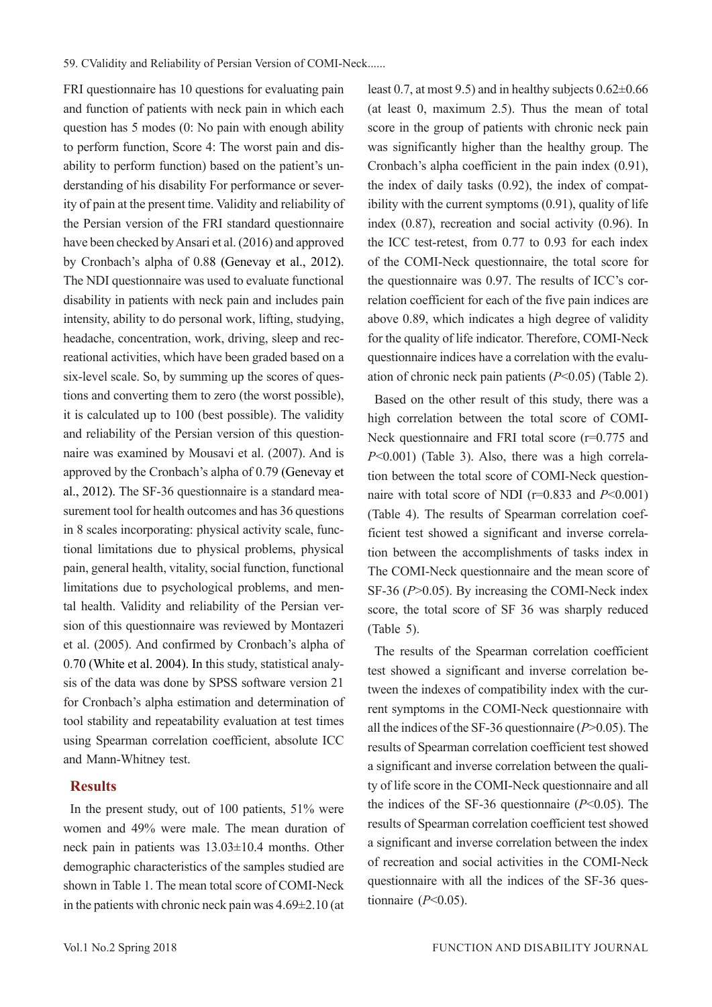FRI questionnaire has 10 questions for evaluating pain and function of patients with neck pain in which each question has 5 modes (0: No pain with enough ability to perform function, Score 4: The worst pain and disability to perform function) based on the patient's understanding of his disability For performance or severity of pain at the present time. Validity and reliability of the Persian version of the FRI standard questionnaire have been checked by Ansari et al. (2016) and approved by Cronbach's alpha of 0.88 (Genevay et al., 2012). The NDI questionnaire was used to evaluate functional disability in patients with neck pain and includes pain intensity, ability to do personal work, lifting, studying, headache, concentration, work, driving, sleep and recreational activities, which have been graded based on a six-level scale. So, by summing up the scores of questions and converting them to zero (the worst possible), it is calculated up to 100 (best possible). The validity and reliability of the Persian version of this questionnaire was examined by Mousavi et al. (2007). And is approved by the Cronbach's alpha of 0.79 (Genevay et al., 2012). The SF-36 questionnaire is a standard measurement tool for health outcomes and has 36 questions in 8 scales incorporating: physical activity scale, functional limitations due to physical problems, physical pain, general health, vitality, social function, functional limitations due to psychological problems, and mental health. Validity and reliability of the Persian version of this questionnaire was reviewed by Montazeri et al. (2005). And confirmed by Cronbach's alpha of 0.70 (White et al. 2004). In this study, statistical analysis of the data was done by SPSS software version 21 for Cronbach's alpha estimation and determination of tool stability and repeatability evaluation at test times using Spearman correlation coefficient, absolute ICC and Mann-Whitney test.

## **Results**

In the present study, out of 100 patients, 51% were women and 49% were male. The mean duration of neck pain in patients was 13.03±10.4 months. Other demographic characteristics of the samples studied are shown in Table 1. The mean total score of COMI-Neck in the patients with chronic neck pain was 4.69±2.10 (at least 0.7, at most 9.5) and in healthy subjects 0.62±0.66 (at least 0, maximum 2.5). Thus the mean of total score in the group of patients with chronic neck pain was significantly higher than the healthy group. The Cronbach's alpha coefficient in the pain index (0.91), the index of daily tasks (0.92), the index of compatibility with the current symptoms (0.91), quality of life index (0.87), recreation and social activity (0.96). In the ICC test-retest, from 0.77 to 0.93 for each index of the COMI-Neck questionnaire, the total score for the questionnaire was 0.97. The results of ICC's correlation coefficient for each of the five pain indices are above 0.89, which indicates a high degree of validity for the quality of life indicator. Therefore, COMI-Neck questionnaire indices have a correlation with the evaluation of chronic neck pain patients (*P*<0.05) (Table 2).

Based on the other result of this study, there was a high correlation between the total score of COMI-Neck questionnaire and FRI total score (r=0.775 and *P*<0.001) (Table 3). Also, there was a high correlation between the total score of COMI-Neck questionnaire with total score of NDI  $(r=0.833$  and  $P<0.001$ ) (Table 4). The results of Spearman correlation coefficient test showed a significant and inverse correlation between the accomplishments of tasks index in The COMI-Neck questionnaire and the mean score of SF-36 (*P*>0.05). By increasing the COMI-Neck index score, the total score of SF 36 was sharply reduced (Table 5).

The results of the Spearman correlation coefficient test showed a significant and inverse correlation between the indexes of compatibility index with the current symptoms in the COMI-Neck questionnaire with all the indices of the SF-36 questionnaire (*P*>0.05). The results of Spearman correlation coefficient test showed a significant and inverse correlation between the quality of life score in the COMI-Neck questionnaire and all the indices of the SF-36 questionnaire  $(P<0.05)$ . The results of Spearman correlation coefficient test showed a significant and inverse correlation between the index of recreation and social activities in the COMI-Neck questionnaire with all the indices of the SF-36 questionnaire (*P*<0.05).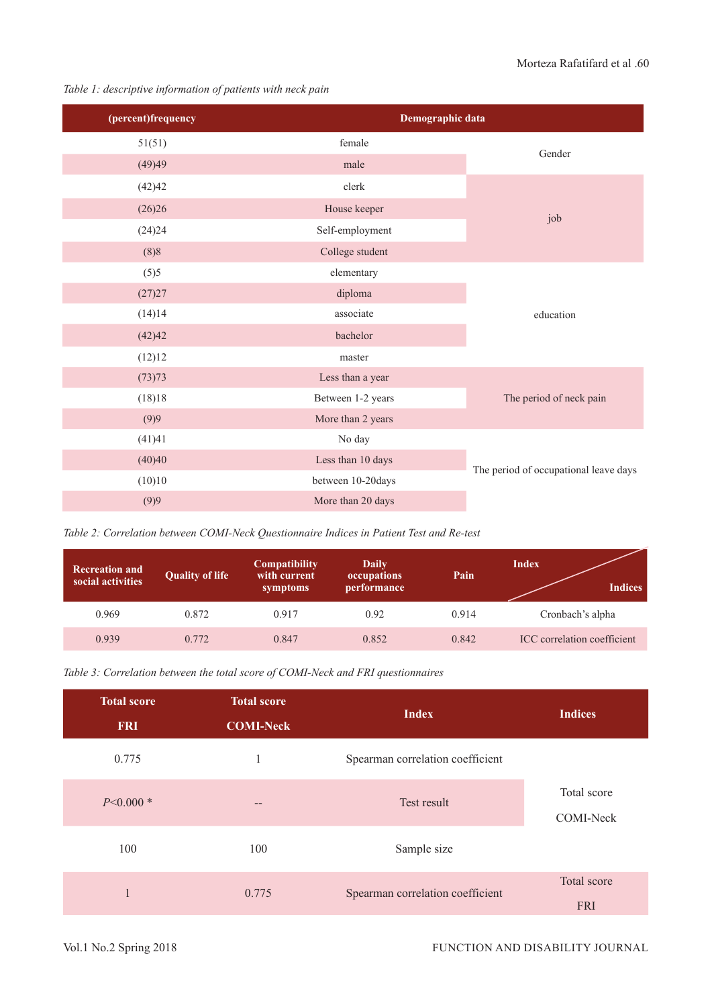*Table 1: descriptive information of patients with neck pain*

| (percent)frequency | Demographic data  |                                       |  |  |  |
|--------------------|-------------------|---------------------------------------|--|--|--|
| 51(51)             | female            | Gender                                |  |  |  |
| (49)49             | male              |                                       |  |  |  |
| (42)42             | clerk             |                                       |  |  |  |
| (26)26             | House keeper      | job                                   |  |  |  |
| (24)24             | Self-employment   |                                       |  |  |  |
| (8)8               | College student   |                                       |  |  |  |
| (5)5               | elementary        |                                       |  |  |  |
| (27)27             | diploma           |                                       |  |  |  |
| (14)14             | associate         | education                             |  |  |  |
| (42)42             | bachelor          |                                       |  |  |  |
| (12)12             | master            |                                       |  |  |  |
| (73)73             | Less than a year  |                                       |  |  |  |
| (18)18             | Between 1-2 years |                                       |  |  |  |
| (9)9               | More than 2 years |                                       |  |  |  |
| (41)41             | No day            |                                       |  |  |  |
| (40)40             | Less than 10 days |                                       |  |  |  |
| (10)10             | between 10-20days | The period of occupational leave days |  |  |  |
| (9)9               | More than 20 days |                                       |  |  |  |

*Table 2: Correlation between COMI-Neck Questionnaire Indices in Patient Test and Re-test*

| <b>Recreation and</b><br>social activities | <b>Quality of life</b> | <b>Compatibility</b><br>with current<br>symptoms | Daily<br>occupations<br>performance | Pain  | Index<br><b>Indices</b>     |
|--------------------------------------------|------------------------|--------------------------------------------------|-------------------------------------|-------|-----------------------------|
| 0.969                                      | 0.872                  | 0.917                                            | 0.92                                | 0.914 | Cronbach's alpha            |
| 0.939                                      | 0.772                  | 0.847                                            | 0.852                               | 0.842 | ICC correlation coefficient |

| Table 3: Correlation between the total score of COMI-Neck and FRI questionnaires |  |  |
|----------------------------------------------------------------------------------|--|--|
|----------------------------------------------------------------------------------|--|--|

| <b>Total score</b><br><b>FRI</b> | <b>Total score</b><br><b>COMI-Neck</b> | <b>Index</b>                     | <b>Indices</b>            |
|----------------------------------|----------------------------------------|----------------------------------|---------------------------|
| 0.775                            |                                        | Spearman correlation coefficient |                           |
| $P<0.000*$                       | --                                     | Test result                      | Total score<br>COMI-Neck  |
| 100                              | 100                                    | Sample size                      |                           |
| 1                                | 0.775                                  | Spearman correlation coefficient | Total score<br><b>FRI</b> |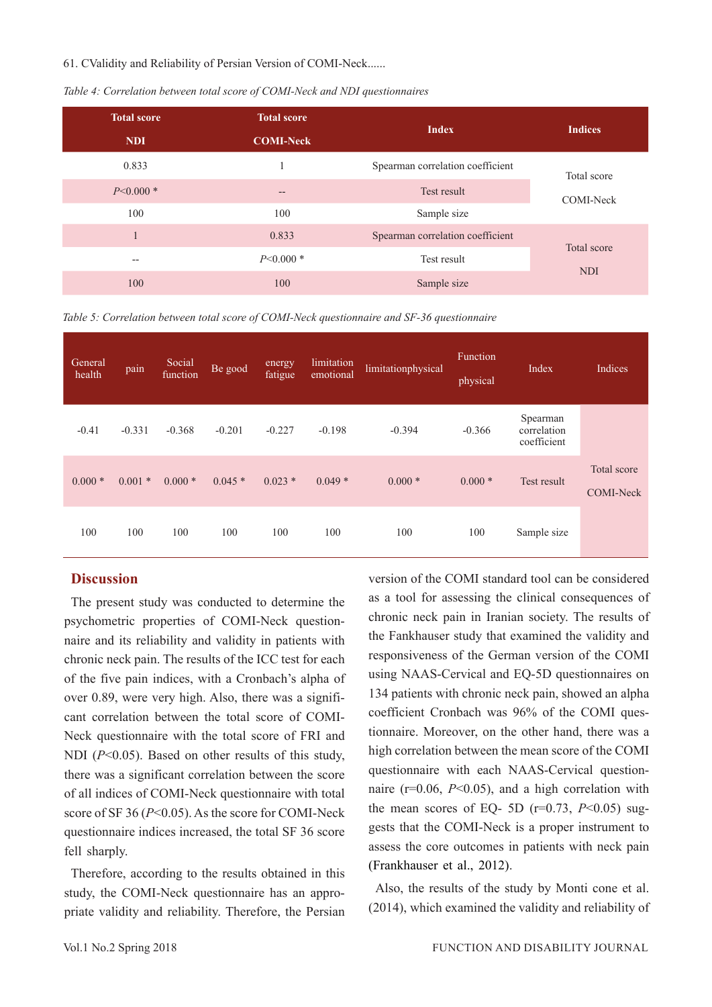#### 61. CValidity and Reliability of Persian Version of COMI-Neck......

| Table 4: Correlation between total score of COMI-Neck and NDI questionnaires |  |  |
|------------------------------------------------------------------------------|--|--|
|------------------------------------------------------------------------------|--|--|

| <b>Total score</b> | <b>Total score</b>        |                                  | <b>Indices</b> |  |
|--------------------|---------------------------|----------------------------------|----------------|--|
| <b>NDI</b>         | <b>COMI-Neck</b>          |                                  |                |  |
| 0.833              |                           | Spearman correlation coefficient | Total score    |  |
| $P<0.000*$         | $\qquad \qquad -$         | Test result                      | COMI-Neck      |  |
| 100                | 100                       | Sample size                      |                |  |
|                    | 0.833                     | Spearman correlation coefficient | Total score    |  |
| $\qquad \qquad -$  | $P<0.000*$<br>Test result |                                  |                |  |
| 100                | 100                       | Sample size                      | <b>NDI</b>     |  |

*Table 5: Correlation between total score of COMI-Neck questionnaire and SF-36 questionnaire*

| General<br>health | pain     | Social<br>function | Be good  | energy<br>fatigue | limitation<br>emotional | limitationphysical | Function<br>physical | Index                                  | Indices                         |
|-------------------|----------|--------------------|----------|-------------------|-------------------------|--------------------|----------------------|----------------------------------------|---------------------------------|
| $-0.41$           | $-0.331$ | $-0.368$           | $-0.201$ | $-0.227$          | $-0.198$                | $-0.394$           | $-0.366$             | Spearman<br>correlation<br>coefficient |                                 |
| $0.000*$          | $0.001*$ | $0.000*$           | $0.045*$ | $0.023*$          | $0.049*$                | $0.000*$           | $0.000*$             | Test result                            | Total score<br><b>COMI-Neck</b> |
| 100               | 100      | 100                | 100      | 100               | 100                     | 100                | 100                  | Sample size                            |                                 |

## **Discussion**

The present study was conducted to determine the psychometric properties of COMI-Neck questionnaire and its reliability and validity in patients with chronic neck pain. The results of the ICC test for each of the five pain indices, with a Cronbach's alpha of over 0.89, were very high. Also, there was a significant correlation between the total score of COMI-Neck questionnaire with the total score of FRI and NDI ( $P<0.05$ ). Based on other results of this study, there was a significant correlation between the score of all indices of COMI-Neck questionnaire with total score of SF 36 (*P*<0.05). As the score for COMI-Neck questionnaire indices increased, the total SF 36 score fell sharply.

Therefore, according to the results obtained in this study, the COMI-Neck questionnaire has an appropriate validity and reliability. Therefore, the Persian version of the COMI standard tool can be considered as a tool for assessing the clinical consequences of chronic neck pain in Iranian society. The results of the Fankhauser study that examined the validity and responsiveness of the German version of the COMI using NAAS-Cervical and EQ-5D questionnaires on 134 patients with chronic neck pain, showed an alpha coefficient Cronbach was 96% of the COMI questionnaire. Moreover, on the other hand, there was a high correlation between the mean score of the COMI questionnaire with each NAAS-Cervical questionnaire (r=0.06, *P*<0.05), and a high correlation with the mean scores of EQ- 5D ( $r=0.73$ ,  $P<0.05$ ) suggests that the COMI-Neck is a proper instrument to assess the core outcomes in patients with neck pain (Frankhauser et al., 2012).

Also, the results of the study by Monti cone et al. (2014), which examined the validity and reliability of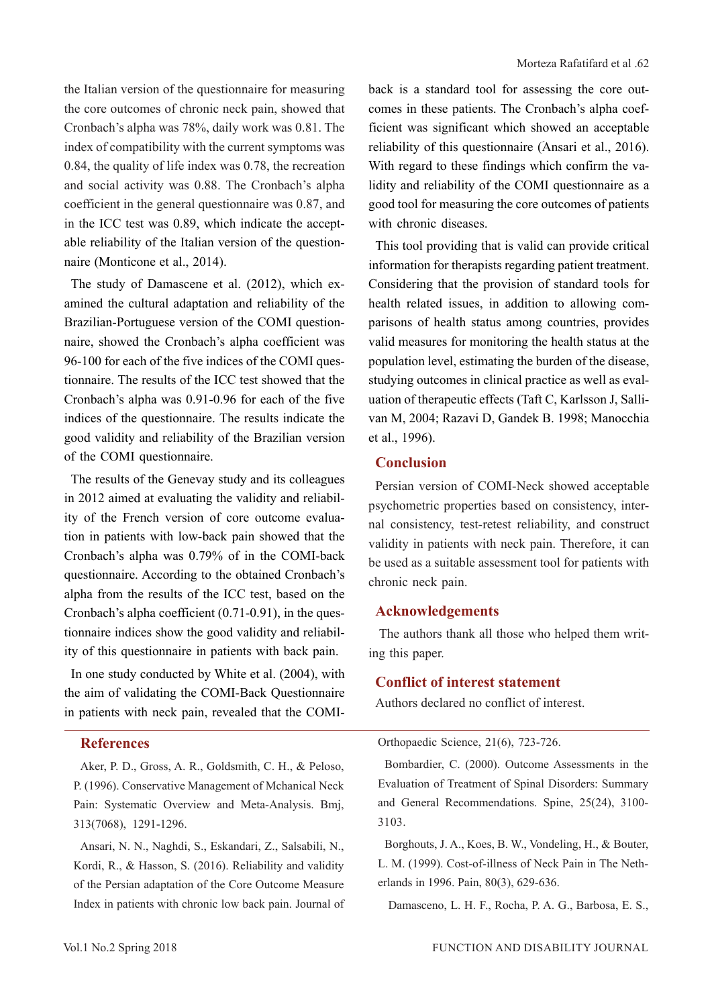the Italian version of the questionnaire for measuring the core outcomes of chronic neck pain, showed that Cronbach's alpha was 78%, daily work was 0.81. The index of compatibility with the current symptoms was 0.84, the quality of life index was 0.78, the recreation and social activity was 0.88. The Cronbach's alpha coefficient in the general questionnaire was 0.87, and in the ICC test was 0.89, which indicate the acceptable reliability of the Italian version of the questionnaire (Monticone et al., 2014).

The study of Damascene et al. (2012), which examined the cultural adaptation and reliability of the Brazilian-Portuguese version of the COMI questionnaire, showed the Cronbach's alpha coefficient was 96-100 for each of the five indices of the COMI questionnaire. The results of the ICC test showed that the Cronbach's alpha was 0.91-0.96 for each of the five indices of the questionnaire. The results indicate the good validity and reliability of the Brazilian version of the COMI questionnaire.

The results of the Genevay study and its colleagues in 2012 aimed at evaluating the validity and reliability of the French version of core outcome evaluation in patients with low-back pain showed that the Cronbach's alpha was 0.79% of in the COMI-back questionnaire. According to the obtained Cronbach's alpha from the results of the ICC test, based on the Cronbach's alpha coefficient (0.71-0.91), in the questionnaire indices show the good validity and reliability of this questionnaire in patients with back pain.

In one study conducted by White et al. (2004), with the aim of validating the COMI-Back Questionnaire in patients with neck pain, revealed that the COMI-

## **References**

Aker, P. D., Gross, A. R., Goldsmith, C. H., & Peloso, P. (1996). Conservative Management of Mchanical Neck Pain: Systematic Overview and Meta-Analysis. Bmj, 313(7068), 1291-1296.

Ansari, N. N., Naghdi, S., Eskandari, Z., Salsabili, N., Kordi, R., & Hasson, S. (2016). Reliability and validity of the Persian adaptation of the Core Outcome Measure Index in patients with chronic low back pain. Journal of back is a standard tool for assessing the core outcomes in these patients. The Cronbach's alpha coefficient was significant which showed an acceptable reliability of this questionnaire (Ansari et al., 2016). With regard to these findings which confirm the validity and reliability of the COMI questionnaire as a good tool for measuring the core outcomes of patients with chronic diseases.

This tool providing that is valid can provide critical information for therapists regarding patient treatment. Considering that the provision of standard tools for health related issues, in addition to allowing comparisons of health status among countries, provides valid measures for monitoring the health status at the population level, estimating the burden of the disease, studying outcomes in clinical practice as well as evaluation of therapeutic effects (Taft C, Karlsson J, Sallivan M, 2004; Razavi D, Gandek B. 1998; Manocchia et al., 1996).

### **Conclusion**

Persian version of COMI-Neck showed acceptable psychometric properties based on consistency, internal consistency, test-retest reliability, and construct validity in patients with neck pain. Therefore, it can be used as a suitable assessment tool for patients with chronic neck pain.

### **Acknowledgements**

 The authors thank all those who helped them writing this paper.

### **Conflict of interest statement**

Authors declared no conflict of interest.

#### Orthopaedic Science, 21(6), 723-726.

Bombardier, C. (2000). Outcome Assessments in the Evaluation of Treatment of Spinal Disorders: Summary and General Recommendations. Spine, 25(24), 3100- 3103.

Borghouts, J. A., Koes, B. W., Vondeling, H., & Bouter, L. M. (1999). Cost-of-illness of Neck Pain in The Netherlands in 1996. Pain, 80(3), 629-636.

Damasceno, L. H. F., Rocha, P. A. G., Barbosa, E. S.,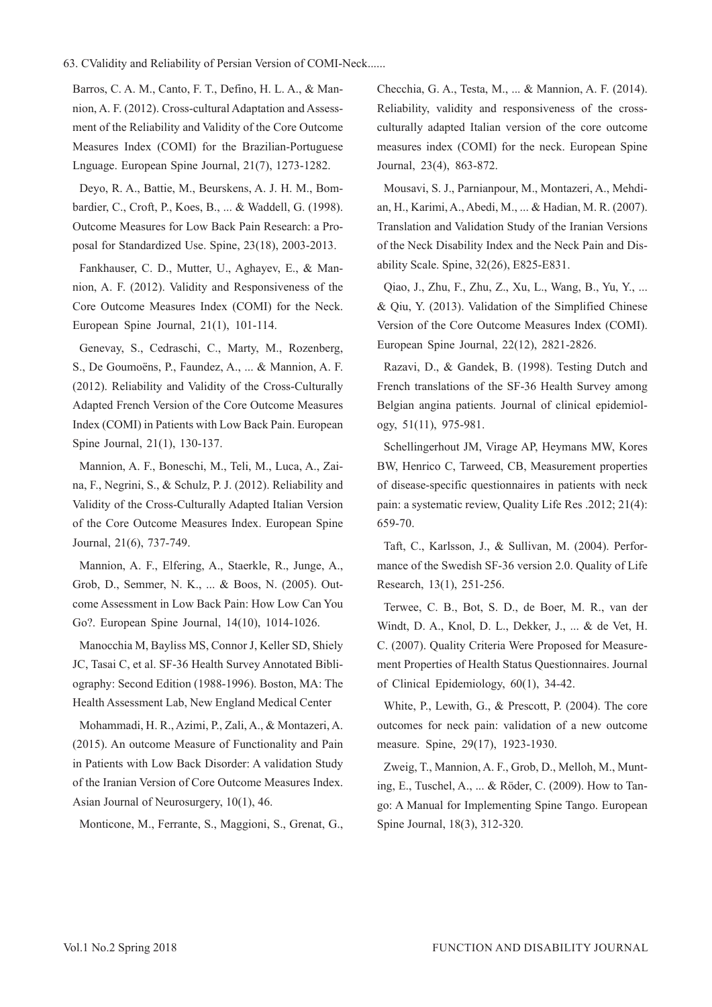#### 63. CValidity and Reliability of Persian Version of COMI-Neck......

Barros, C. A. M., Canto, F. T., Defino, H. L. A., & Mannion, A. F. (2012). Cross-cultural Adaptation and Assessment of the Reliability and Validity of the Core Outcome Measures Index (COMI) for the Brazilian-Portuguese Lnguage. European Spine Journal, 21(7), 1273-1282.

Deyo, R. A., Battie, M., Beurskens, A. J. H. M., Bombardier, C., Croft, P., Koes, B., ... & Waddell, G. (1998). Outcome Measures for Low Back Pain Research: a Proposal for Standardized Use. Spine, 23(18), 2003-2013.

Fankhauser, C. D., Mutter, U., Aghayev, E., & Mannion, A. F. (2012). Validity and Responsiveness of the Core Outcome Measures Index (COMI) for the Neck. European Spine Journal, 21(1), 101-114.

Genevay, S., Cedraschi, C., Marty, M., Rozenberg, S., De Goumoëns, P., Faundez, A., ... & Mannion, A. F. (2012). Reliability and Validity of the Cross-Culturally Adapted French Version of the Core Outcome Measures Index (COMI) in Patients with Low Back Pain. European Spine Journal, 21(1), 130-137.

Mannion, A. F., Boneschi, M., Teli, M., Luca, A., Zaina, F., Negrini, S., & Schulz, P. J. (2012). Reliability and Validity of the Cross-Culturally Adapted Italian Version of the Core Outcome Measures Index. European Spine Journal, 21(6), 737-749.

Mannion, A. F., Elfering, A., Staerkle, R., Junge, A., Grob, D., Semmer, N. K., ... & Boos, N. (2005). Outcome Assessment in Low Back Pain: How Low Can You Go?. European Spine Journal, 14(10), 1014-1026.

Manocchia M, Bayliss MS, Connor J, Keller SD, Shiely JC, Tasai C, et al. SF-36 Health Survey Annotated Bibliography: Second Edition (1988-1996). Boston, MA: The Health Assessment Lab, New England Medical Center

Mohammadi, H. R., Azimi, P., Zali, A., & Montazeri, A. (2015). An outcome Measure of Functionality and Pain in Patients with Low Back Disorder: A validation Study of the Iranian Version of Core Outcome Measures Index. Asian Journal of Neurosurgery, 10(1), 46.

Monticone, M., Ferrante, S., Maggioni, S., Grenat, G.,

Checchia, G. A., Testa, M., ... & Mannion, A. F. (2014). Reliability, validity and responsiveness of the crossculturally adapted Italian version of the core outcome measures index (COMI) for the neck. European Spine Journal, 23(4), 863-872.

Mousavi, S. J., Parnianpour, M., Montazeri, A., Mehdian, H., Karimi, A., Abedi, M., ... & Hadian, M. R. (2007). Translation and Validation Study of the Iranian Versions of the Neck Disability Index and the Neck Pain and Disability Scale. Spine, 32(26), E825-E831.

Qiao, J., Zhu, F., Zhu, Z., Xu, L., Wang, B., Yu, Y., ... & Qiu, Y. (2013). Validation of the Simplified Chinese Version of the Core Outcome Measures Index (COMI). European Spine Journal, 22(12), 2821-2826.

Razavi, D., & Gandek, B. (1998). Testing Dutch and French translations of the SF-36 Health Survey among Belgian angina patients. Journal of clinical epidemiology, 51(11), 975-981.

Schellingerhout JM, Virage AP, Heymans MW, Kores BW, Henrico C, Tarweed, CB, Measurement properties of disease-specific questionnaires in patients with neck pain: a systematic review, Quality Life Res .2012; 21(4): 659-70.

Taft, C., Karlsson, J., & Sullivan, M. (2004). Performance of the Swedish SF-36 version 2.0. Quality of Life Research, 13(1), 251-256.

Terwee, C. B., Bot, S. D., de Boer, M. R., van der Windt, D. A., Knol, D. L., Dekker, J., ... & de Vet, H. C. (2007). Quality Criteria Were Proposed for Measurement Properties of Health Status Questionnaires. Journal of Clinical Epidemiology, 60(1), 34-42.

White, P., Lewith, G., & Prescott, P. (2004). The core outcomes for neck pain: validation of a new outcome measure. Spine, 29(17), 1923-1930.

Zweig, T., Mannion, A. F., Grob, D., Melloh, M., Munting, E., Tuschel, A., ... & Röder, C. (2009). How to Tango: A Manual for Implementing Spine Tango. European Spine Journal, 18(3), 312-320.